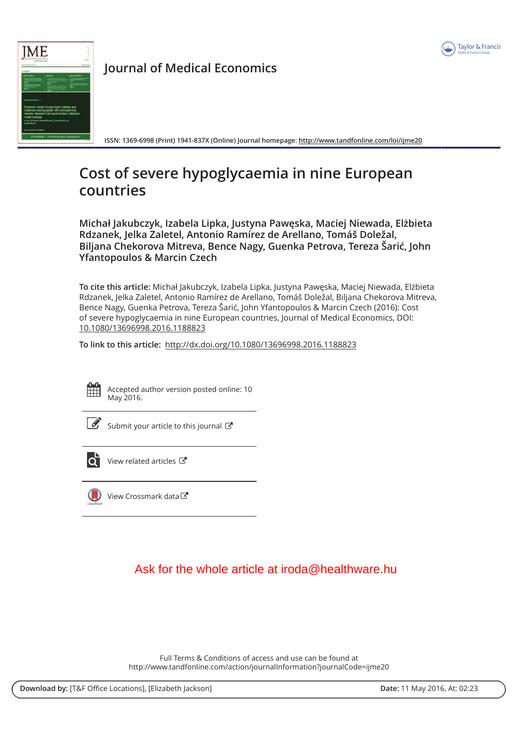



**Journal of Medical Economics** 

ISSN: 1369-6998 (Print) 1941-837X (Online) Journal homepage: http://www.tandfonline.com/loi/ijme20

# Cost of severe hypoglycaemia in nine European countries

Michał Jakubczyk, Izabela Lipka, Justyna Pawęska, Maciej Niewada, Elżbieta Rdzanek, Jelka Zaletel, Antonio Ramírez de Arellano, Tomáš Doležal, Biljana Chekorova Mitreva, Bence Nagy, Guenka Petrova, Tereza Šarić, John **Yfantopoulos & Marcin Czech** 

To cite this article: Michał Jakubczyk, Izabela Lipka, Justyna Pawęska, Maciej Niewada, Elżbieta Rdzanek, Jelka Zaletel, Antonio Ramírez de Arellano, Tomáš Doležal, Biljana Chekorova Mitreva, Bence Nagy, Guenka Petrova, Tereza Šarić, John Yfantopoulos & Marcin Czech (2016): Cost of severe hypoglycaemia in nine European countries, Journal of Medical Economics, DOI: 10.1080/13696998.2016.1188823

To link to this article: http://dx.doi.org/10.1080/13696998.2016.1188823



Accepted author version posted online: 10 May 2016.



Submit your article to this journal  $\mathbb{C}$ 



View related articles C

View Crossmark data

## Ask for the whole article at iroda@healthware hu

Full Terms & Conditions of access and use can be found at http://www.tandfonline.com/action/journalInformation?journalCode=ijme20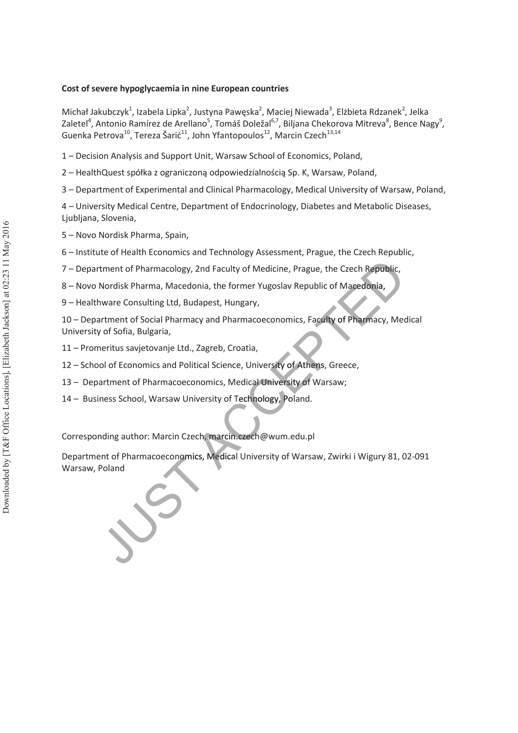### **Cost of severe hypoglycaemia in nine European countries**

Michał Jakubczyk<sup>1</sup>, Izabela Lipka<sup>2</sup>, Justyna Pawęska<sup>2</sup>, Maciej Niewada<sup>3</sup>, Elżbieta Rdzanek<sup>2</sup>, Jelka Zaletel<sup>4</sup>, Antonio Ramírez de Arellano<sup>5</sup>, Tomáš Doležal<sup>6,7</sup>, Biljana Chekorova Mitreva<sup>8</sup>, Bence Nagy<sup>9</sup>, Guenka Petrova<sup>10</sup>, Tereza Šarić<sup>11</sup>, John Yfantopoulos<sup>12</sup>, Marcin Czech<sup>13,14</sup>

- 1 Decision Analysis and Support Unit, Warsaw School of Economics, Poland,
- 2 HealthQuest spółka z ograniczoną odpowiedzialnością Sp. K, Warsaw, Poland,
- 3 Department of Experimental and Clinical Pharmacology, Medical University of Warsaw, Poland,

4 – University Medical Centre, Department of Endocrinology, Diabetes and Metabolic Diseases, Ljubljana, Slovenia,

- 5 Novo Nordisk Pharma, Spain,
- 6 Institute of Health Economics and Technology Assessment, Prague, the Czech Republic,
- 7 Department of Pharmacology, 2nd Faculty of Medicine, Prague, the Czech Republic,
- 8 Novo Nordisk Pharma, Macedonia, the former Yugoslav Republic of Macedonia,
- 9 Healthware Consulting Ltd, Budapest, Hungary,

10 – Department of Social Pharmacy and Pharmacoeconomics, Faculty of Pharmacy, Medical University of Sofia, Bulgaria,

- 11 Promeritus savjetovanje Ltd., Zagreb, Croatia,
- 12 School of Economics and Political Science, University of Athens, Greece,
- 13 Department of Pharmacoeconomics, Medical University of Warsaw;
- 14 Business School, Warsaw University of Technology, Poland.

Corresponding author: Marcin Czech, marcin.czech@wum.edu.pl

Department of Pharmacoeconomics, Medical University of Warsaw, Zwirki i Wigury 81, 02-091 7 – Department of Pharmacology, 2nd Faculty of Medicine, Prague, the Czech Republic,<br>
8 – Novo Nordisk Pharma, Macedonia, the former Yugoslav Republic of Macedonia,<br>
9 – Healthware Consulting Ltd, Budapest, Hungary,<br>
10 –

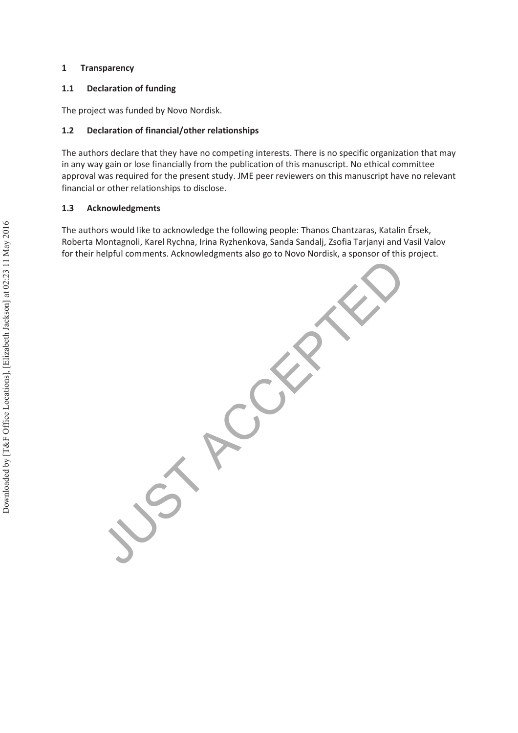### **1 Transparency**

### **1.1 Declaration of funding**

The project was funded by Novo Nordisk.

### **1.2 Declaration of financial/other relationships**

The authors declare that they have no competing interests. There is no specific organization that may in any way gain or lose financially from the publication of this manuscript. No ethical committee approval was required for the present study. JME peer reviewers on this manuscript have no relevant financial or other relationships to disclose.

#### **1.3 Acknowledgments**

The authors would like to acknowledge the following people: Thanos Chantzaras, Katalin Érsek, Roberta Montagnoli, Karel Rychna, Irina Ryzhenkova, Sanda Sandalj, Zsofia Tarjanyi and Vasil Valov for their helpful comments. Acknowledgments also go to Novo Nordisk, a sponsor of this project.

JUST PCCEPTED